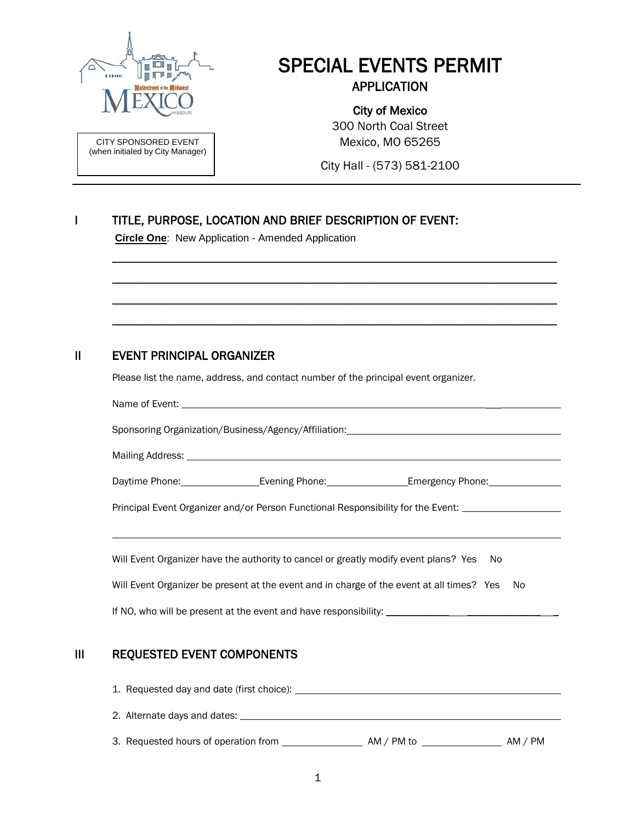

SPECIAL EVENTS PERMIT APPLICATION

CITY SPONSORED EVENT (when initialed by City Manager)

#### City of Mexico 300 North Coal Street

Mexico, MO 65265

City Hall - (573) 581-2100

## I TITLE, PURPOSE, LOCATION AND BRIEF DESCRIPTION OF EVENT:

**Circle One**: New Application - Amended Application

### II EVENT PRINCIPAL ORGANIZER

Please list the name, address, and contact number of the principal event organizer.

|                                                                                              |  | Sponsoring Organization/Business/Agency/Affiliation: ___________________________                    |  |  |  |  |
|----------------------------------------------------------------------------------------------|--|-----------------------------------------------------------------------------------------------------|--|--|--|--|
|                                                                                              |  |                                                                                                     |  |  |  |  |
|                                                                                              |  | Daytime Phone: ___________________Evening Phone: __________________Emergency Phone: _______________ |  |  |  |  |
|                                                                                              |  | Principal Event Organizer and/or Person Functional Responsibility for the Event: __________________ |  |  |  |  |
|                                                                                              |  | Will Event Organizer have the authority to cancel or greatly modify event plans? Yes No             |  |  |  |  |
| Will Event Organizer be present at the event and in charge of the event at all times? Yes No |  |                                                                                                     |  |  |  |  |
|                                                                                              |  |                                                                                                     |  |  |  |  |

\_\_\_\_\_\_\_\_\_\_\_\_\_\_\_\_\_\_\_\_\_\_\_\_\_\_\_\_\_\_\_\_\_\_\_\_\_\_\_\_\_\_\_\_\_\_\_\_\_\_\_\_\_\_\_\_\_\_\_\_\_\_\_\_\_\_\_\_\_\_\_\_\_\_\_\_\_\_\_\_\_\_\_\_\_

\_\_\_\_\_\_\_\_\_\_\_\_\_\_\_\_\_\_\_\_\_\_\_\_\_\_\_\_\_\_\_\_\_\_\_\_\_\_\_\_\_\_\_\_\_\_\_\_\_\_\_\_\_\_\_\_\_\_\_\_\_\_\_\_\_\_\_\_\_\_\_\_\_\_\_\_\_\_\_\_\_\_\_\_\_

\_\_\_\_\_\_\_\_\_\_\_\_\_\_\_\_\_\_\_\_\_\_\_\_\_\_\_\_\_\_\_\_\_\_\_\_\_\_\_\_\_\_\_\_\_\_\_\_\_\_\_\_\_\_\_\_\_\_\_\_\_\_\_\_\_\_\_\_\_\_\_\_\_\_\_\_\_\_\_\_\_\_\_\_\_

\_\_\_\_\_\_\_\_\_\_\_\_\_\_\_\_\_\_\_\_\_\_\_\_\_\_\_\_\_\_\_\_\_\_\_\_\_\_\_\_\_\_\_\_\_\_\_\_\_\_\_\_\_\_\_\_\_\_\_\_\_\_\_\_\_\_\_\_\_\_\_\_\_\_\_\_\_\_\_\_\_\_\_\_\_

### III REQUESTED EVENT COMPONENTS

| 1. Requested day and date (first choice): |            |         |
|-------------------------------------------|------------|---------|
| 2. Alternate days and dates:              |            |         |
| 3. Requested hours of operation from      | AM / PM to | AM / PM |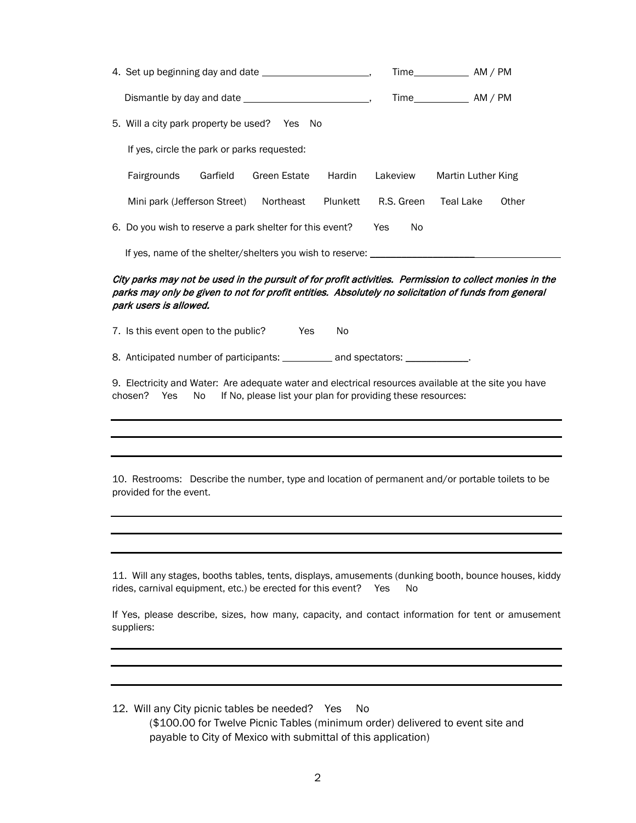|                                                           |              |          |                  | Time AM / PM       |       |
|-----------------------------------------------------------|--------------|----------|------------------|--------------------|-------|
|                                                           |              |          | $Time$ $AM / PM$ |                    |       |
| 5. Will a city park property be used? Yes No              |              |          |                  |                    |       |
| If yes, circle the park or parks requested:               |              |          |                  |                    |       |
| Fairgrounds<br>Garfield                                   | Green Estate | Hardin   | Lakeview         | Martin Luther King |       |
| Mini park (Jefferson Street)                              | Northeast    | Plunkett | R.S. Green       | Teal Lake          | Other |
| 6. Do you wish to reserve a park shelter for this event?  |              |          | Yes<br>No.       |                    |       |
| If yes, name of the shelter/shelters you wish to reserve: |              |          |                  |                    |       |

#### City parks may not be used in the pursuit of for profit activities. Permission to collect monies in the parks may only be given to not for profit entities. Absolutely no solicitation of funds from general park users is allowed.

7. Is this event open to the public? Yes No

8. Anticipated number of participants: \_\_\_\_\_\_\_\_\_\_\_\_ and spectators: \_\_\_\_\_\_

9. Electricity and Water: Are adequate water and electrical resources available at the site you have chosen? Yes No If No, please list your plan for providing these resources:

10. Restrooms: Describe the number, type and location of permanent and/or portable toilets to be provided for the event.

11. Will any stages, booths tables, tents, displays, amusements (dunking booth, bounce houses, kiddy rides, carnival equipment, etc.) be erected for this event? Yes No

If Yes, please describe, sizes, how many, capacity, and contact information for tent or amusement suppliers:

12. Will any City picnic tables be needed? Yes No (\$100.00 for Twelve Picnic Tables (minimum order) delivered to event site and payable to City of Mexico with submittal of this application)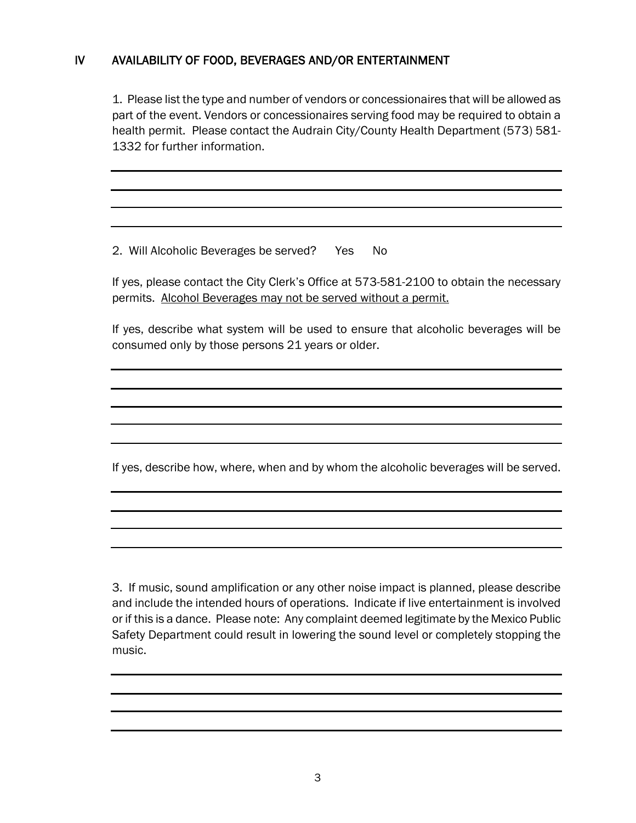### IV AVAILABILITY OF FOOD, BEVERAGES AND/OR ENTERTAINMENT

1. Please list the type and number of vendors or concessionaires that will be allowed as part of the event. Vendors or concessionaires serving food may be required to obtain a health permit. Please contact the Audrain City/County Health Department (573) 581- 1332 for further information.

2. Will Alcoholic Beverages be served? Yes No

If yes, please contact the City Clerk's Office at 573-581-2100 to obtain the necessary permits. Alcohol Beverages may not be served without a permit.

If yes, describe what system will be used to ensure that alcoholic beverages will be consumed only by those persons 21 years or older.

If yes, describe how, where, when and by whom the alcoholic beverages will be served.

3. If music, sound amplification or any other noise impact is planned, please describe and include the intended hours of operations. Indicate if live entertainment is involved or if this is a dance. Please note: Any complaint deemed legitimate by the Mexico Public Safety Department could result in lowering the sound level or completely stopping the music.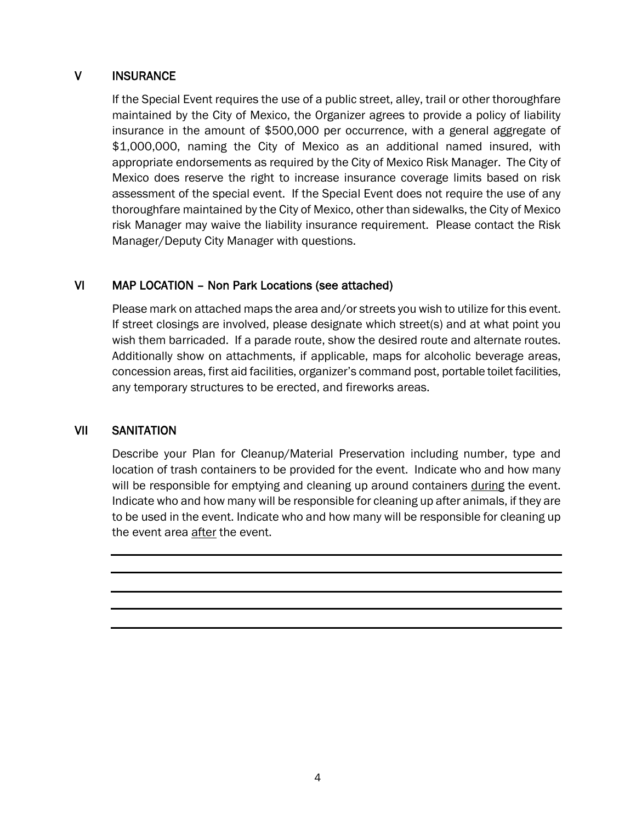#### V INSURANCE

If the Special Event requires the use of a public street, alley, trail or other thoroughfare maintained by the City of Mexico, the Organizer agrees to provide a policy of liability insurance in the amount of \$500,000 per occurrence, with a general aggregate of \$1,000,000, naming the City of Mexico as an additional named insured, with appropriate endorsements as required by the City of Mexico Risk Manager. The City of Mexico does reserve the right to increase insurance coverage limits based on risk assessment of the special event. If the Special Event does not require the use of any thoroughfare maintained by the City of Mexico, other than sidewalks, the City of Mexico risk Manager may waive the liability insurance requirement. Please contact the Risk Manager/Deputy City Manager with questions.

### VI MAP LOCATION – Non Park Locations (see attached)

Please mark on attached maps the area and/or streets you wish to utilize for this event. If street closings are involved, please designate which street(s) and at what point you wish them barricaded. If a parade route, show the desired route and alternate routes. Additionally show on attachments, if applicable, maps for alcoholic beverage areas, concession areas, first aid facilities, organizer's command post, portable toilet facilities, any temporary structures to be erected, and fireworks areas.

#### VII SANITATION

Describe your Plan for Cleanup/Material Preservation including number, type and location of trash containers to be provided for the event. Indicate who and how many will be responsible for emptying and cleaning up around containers during the event. Indicate who and how many will be responsible for cleaning up after animals, if they are to be used in the event. Indicate who and how many will be responsible for cleaning up the event area after the event.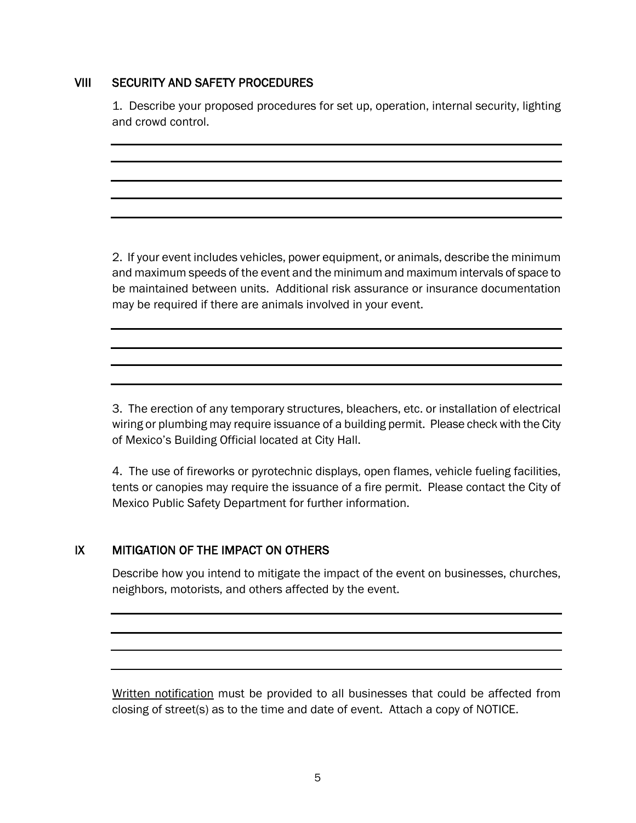#### VIII SECURITY AND SAFETY PROCEDURES

1. Describe your proposed procedures for set up, operation, internal security, lighting and crowd control.

2. If your event includes vehicles, power equipment, or animals, describe the minimum and maximum speeds of the event and the minimum and maximum intervals of space to be maintained between units. Additional risk assurance or insurance documentation may be required if there are animals involved in your event.

3. The erection of any temporary structures, bleachers, etc. or installation of electrical wiring or plumbing may require issuance of a building permit. Please check with the City of Mexico's Building Official located at City Hall.

4. The use of fireworks or pyrotechnic displays, open flames, vehicle fueling facilities, tents or canopies may require the issuance of a fire permit. Please contact the City of Mexico Public Safety Department for further information.

#### IX MITIGATION OF THE IMPACT ON OTHERS

Describe how you intend to mitigate the impact of the event on businesses, churches, neighbors, motorists, and others affected by the event.

Written notification must be provided to all businesses that could be affected from closing of street(s) as to the time and date of event. Attach a copy of NOTICE.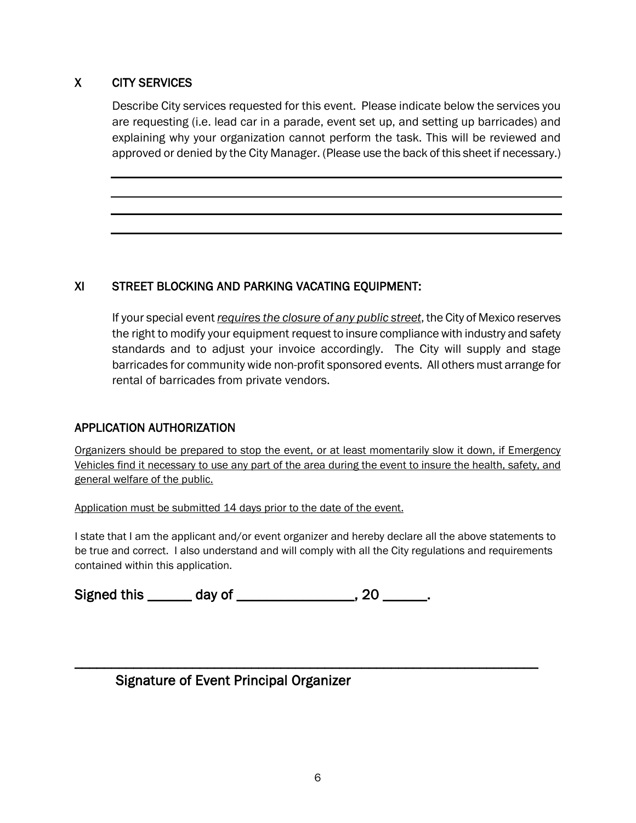### X CITY SERVICES

Describe City services requested for this event. Please indicate below the services you are requesting (i.e. lead car in a parade, event set up, and setting up barricades) and explaining why your organization cannot perform the task. This will be reviewed and approved or denied by the City Manager. (Please use the back of this sheet if necessary.)

### XI STREET BLOCKING AND PARKING VACATING EQUIPMENT:

If your special event *requires the closure of any public street*, the City of Mexico reserves the right to modify your equipment request to insure compliance with industry and safety standards and to adjust your invoice accordingly. The City will supply and stage barricades for community wide non-profit sponsored events. All others must arrange for rental of barricades from private vendors.

#### APPLICATION AUTHORIZATION

Organizers should be prepared to stop the event, or at least momentarily slow it down, if Emergency Vehicles find it necessary to use any part of the area during the event to insure the health, safety, and general welfare of the public.

Application must be submitted 14 days prior to the date of the event.

I state that I am the applicant and/or event organizer and hereby declare all the above statements to be true and correct. I also understand and will comply with all the City regulations and requirements contained within this application.

\_\_\_\_\_\_\_\_\_\_\_\_\_\_\_\_\_\_\_\_\_\_\_\_\_\_\_\_\_\_\_\_\_\_\_\_\_\_\_\_\_\_\_\_\_\_\_\_\_\_\_\_\_\_\_\_\_\_\_\_\_\_\_

Signed this \_\_\_\_\_\_ day of \_\_\_\_\_\_\_\_\_\_\_\_\_\_\_, 20 \_\_\_\_\_\_.

# Signature of Event Principal Organizer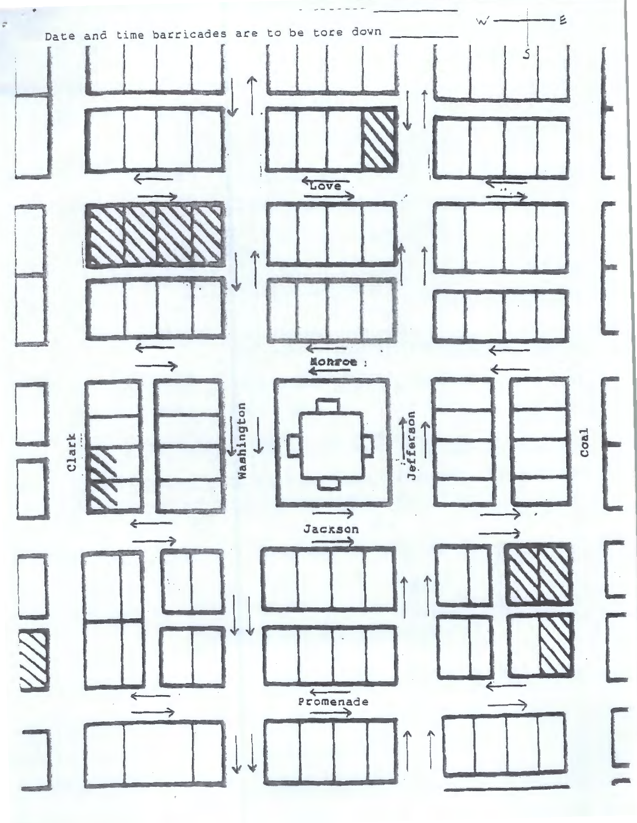